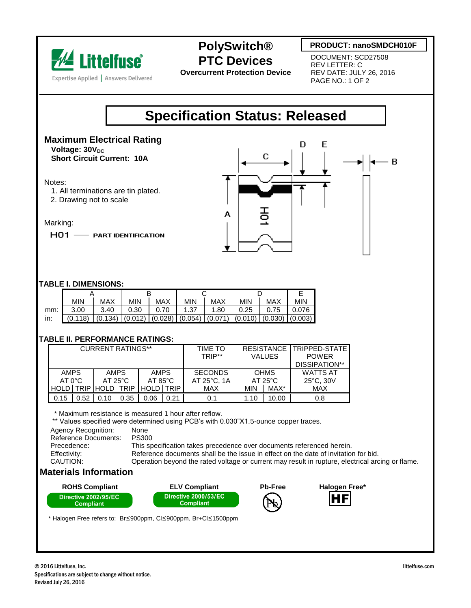

## **PolySwitch® PTC Devices**

**Overcurrent Protection Device**

### **PRODUCT: nanoSMDCH010F**

DOCUMENT: SCD27508 REV LETTER: C REV DATE: JULY 26, 2016 PAGE NO.: 1 OF 2

# **Specification Status: Released**

#### **Maximum Electrical Rating Voltage: 30V<sub>DC</sub> Short Circuit Current: 10A**

#### Notes:

- 1. All terminations are tin plated.
- 2. Drawing not to scale

#### Marking:

HO1 - PART IDENTIFICATION



#### **TABLE I. DIMENSIONS:**

|     | <b>MIN</b>                                                                                | MAX  | <b>MIN</b> | <b>MAX</b> | <b>MIN</b> | MAX  | <b>MIN</b> | MAX  | <b>MIN</b> |
|-----|-------------------------------------------------------------------------------------------|------|------------|------------|------------|------|------------|------|------------|
| mm: | 3.00                                                                                      | 3.40 | 0.30       | 0.70       | 1.37       | 1.80 | 0.25       | 0.75 | 0.076      |
| in: | $(0.118)$ $(0.134)$ $(0.012)$ $(0.028)$ $(0.054)$ $(0.071)$ $(0.010)$ $(0.030)$ $(0.003)$ |      |            |            |            |      |            |      |            |

#### **TABLE II. PERFORMANCE RATINGS:**

| <b>CURRENT RATINGS**</b>           |      |                                  |      |                                  |      | TIME TO<br>TRIP**             | <b>VALUES</b>                   |       | RESISTANCE TRIPPED-STATE<br><b>POWER</b><br>DISSIPATION** |  |
|------------------------------------|------|----------------------------------|------|----------------------------------|------|-------------------------------|---------------------------------|-------|-----------------------------------------------------------|--|
| <b>AMPS</b><br>AT O <sup>o</sup> C |      | <b>AMPS</b><br>$AT 25^{\circ}$ C |      | <b>AMPS</b><br>$AT 85^{\circ}$ C |      | <b>SECONDS</b><br>AT 25°C. 1A | <b>OHMS</b><br>$AT 25^{\circ}C$ |       | <b>WATTS AT</b><br>$25^{\circ}$ C, 30V                    |  |
| <b>HOLD</b>                        |      | <b>TRIP HOLDI TRIP</b>           |      | HOLD TRIP                        |      | MAX                           | <b>MIN</b>                      | MAX*  | <b>MAX</b>                                                |  |
| 0.15                               | 0.52 | 0.10                             | 0.35 | 0.06                             | 0.21 | 0.1                           | 1.10                            | 10.00 | 0.8                                                       |  |

\* Maximum resistance is measured 1 hour after reflow.

\*\* Values specified were determined using PCB's with 0.030"X1.5-ounce copper traces.

| Agency Recognition:  | None                                                                                             |
|----------------------|--------------------------------------------------------------------------------------------------|
| Reference Documents: | <b>PS300</b>                                                                                     |
| Precedence:          | This specification takes precedence over documents referenced herein.                            |
| Effectivity:         | Reference documents shall be the issue in effect on the date of invitation for bid.              |
| CAUTION:             | Operation beyond the rated voltage or current may result in rupture, electrical arcing or flame. |
|                      |                                                                                                  |

### **Materials Information**





HF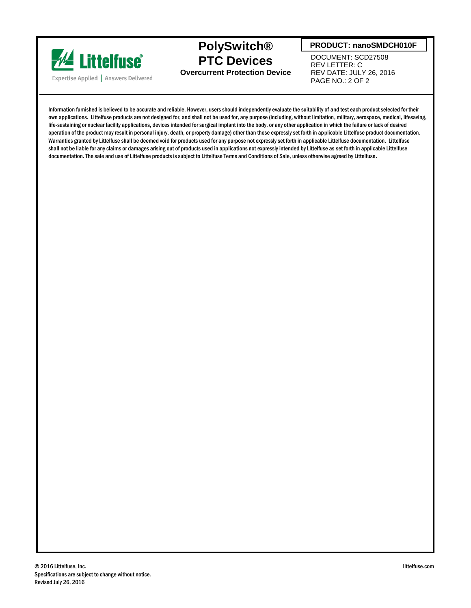

**PolySwitch® PTC Devices Overcurrent Protection Device**

#### **PRODUCT: nanoSMDCH010F**

DOCUMENT: SCD27508 REV LETTER: C REV DATE: JULY 26, 2016 PAGE NO.: 2 OF 2

Information furnished is believed to be accurate and reliable. However, users should independently evaluate the suitability of and test each product selected for their own applications. Littelfuse products are not designed for, and shall not be used for, any purpose (including, without limitation, military, aerospace, medical, lifesaving, life-sustaining or nuclear facility applications, devices intended for surgical implant into the body, or any other application in which the failure or lack of desired operation of the product may result in personal injury, death, or property damage) other than those expressly set forth in applicable Littelfuse product documentation. Warranties granted by Littelfuse shall be deemed void for products used for any purpose not expressly set forth in applicable Littelfuse documentation. Littelfuse shall not be liable for any claims or damages arising out of products used in applications not expressly intended by Littelfuse as set forth in applicable Littelfuse documentation. The sale and use of Littelfuse products is subject to Littelfuse Terms and Conditions of Sale, unless otherwise agreed by Littelfuse.